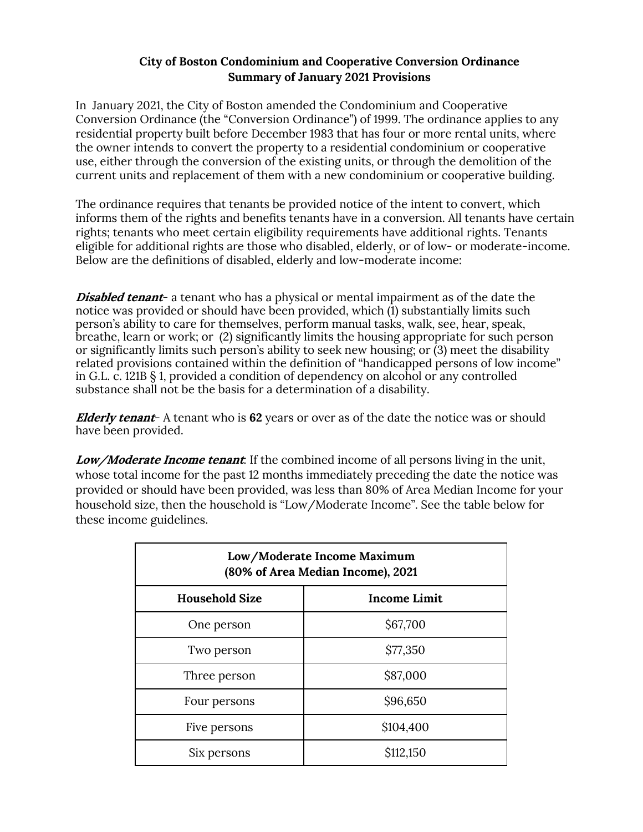### **City of Boston Condominium and Cooperative Conversion Ordinance Summary of January 2021 Provisions**

In January 2021, the City of Boston amended the Condominium and Cooperative Conversion Ordinance (the "Conversion Ordinance") of 1999. The ordinance applies to any residential property built before December 1983 that has four or more rental units, where the owner intends to convert the property to a residential condominium or cooperative use, either through the conversion of the existing units, or through the demolition of the current units and replacement of them with a new condominium or cooperative building.

The ordinance requires that tenants be provided notice of the intent to convert, which informs them of the rights and benefits tenants have in a conversion. All tenants have certain rights; tenants who meet certain eligibility requirements have additional rights. Tenants eligible for additional rights are those who disabled, elderly, or of low- or moderate-income. Below are the definitions of disabled, elderly and low-moderate income:

**Disabled tenant-** a tenant who has a physical or mental impairment as of the date the notice was provided or should have been provided, which (1) substantially limits such person's ability to care for themselves, perform manual tasks, walk, see, hear, speak, breathe, learn or work; or (2) significantly limits the housing appropriate for such person or significantly limits such person's ability to seek new housing; or (3) meet the disability related provisions contained within the definition of "handicapped persons of low income" in G.L. c. 121B § 1, provided a condition of dependency on alcohol or any controlled substance shall not be the basis for a determination of a disability.

**Elderly tenant**- A tenant who is **62** years or over as of the date the notice was or should have been provided.

**Low/Moderate Income tenant***:* If the combined income of all persons living in the unit, whose total income for the past 12 months immediately preceding the date the notice was provided or should have been provided, was less than 80% of Area Median Income for your household size, then the household is "Low/Moderate Income". See the table below for these income guidelines.

| Low/Moderate Income Maximum<br>(80% of Area Median Income), 2021 |                     |  |
|------------------------------------------------------------------|---------------------|--|
| <b>Household Size</b>                                            | <b>Income Limit</b> |  |
| One person                                                       | \$67,700            |  |
| Two person                                                       | \$77,350            |  |
| Three person                                                     | \$87,000            |  |
| Four persons                                                     | \$96,650            |  |
| Five persons                                                     | \$104,400           |  |
| Six persons                                                      | \$112,150           |  |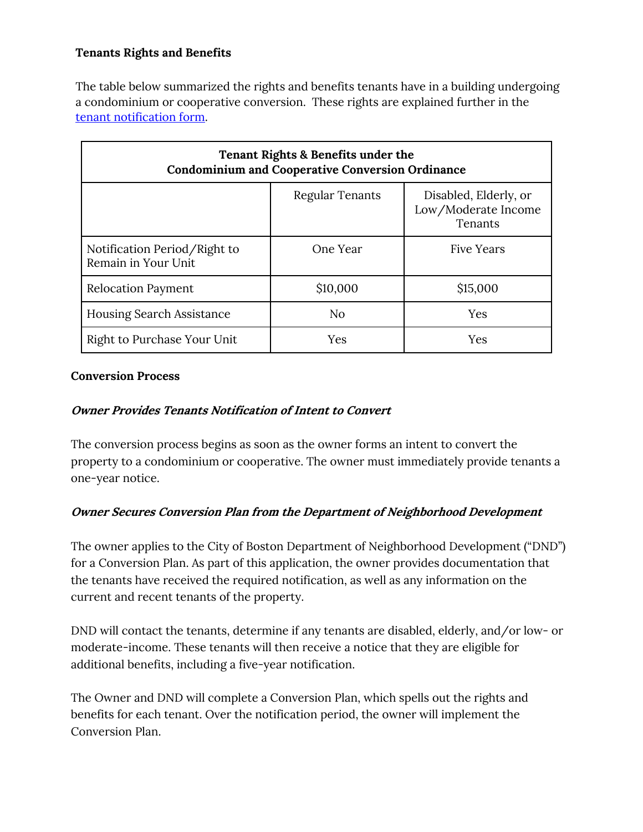# **Tenants Rights and Benefits**

The table below summarized the rights and benefits tenants have in a building undergoing a condominium or cooperative conversion. These rights are explained further in the tenant notification form.

| Tenant Rights & Benefits under the<br><b>Condominium and Cooperative Conversion Ordinance</b> |                        |                                                         |  |
|-----------------------------------------------------------------------------------------------|------------------------|---------------------------------------------------------|--|
|                                                                                               | <b>Regular Tenants</b> | Disabled, Elderly, or<br>Low/Moderate Income<br>Tenants |  |
| Notification Period/Right to<br>Remain in Your Unit                                           | One Year               | <b>Five Years</b>                                       |  |
| <b>Relocation Payment</b>                                                                     | \$10,000               | \$15,000                                                |  |
| <b>Housing Search Assistance</b>                                                              | N <sub>o</sub>         | Yes                                                     |  |
| Right to Purchase Your Unit                                                                   | Yes                    | Yes                                                     |  |

#### **Conversion Process**

### **Owner Provides Tenants Notification of Intent to Convert**

The conversion process begins as soon as the owner forms an intent to convert the property to a condominium or cooperative. The owner must immediately provide tenants a one-year notice.

### **Owner Secures Conversion Plan from the Department of Neighborhood Development**

The owner applies to the City of Boston Department of Neighborhood Development ("DND") for a Conversion Plan. As part of this application, the owner provides documentation that the tenants have received the required notification, as well as any information on the current and recent tenants of the property.

DND will contact the tenants, determine if any tenants are disabled, elderly, and/or low- or moderate-income. These tenants will then receive a notice that they are eligible for additional benefits, including a five-year notification.

The Owner and DND will complete a Conversion Plan, which spells out the rights and benefits for each tenant. Over the notification period, the owner will implement the Conversion Plan.